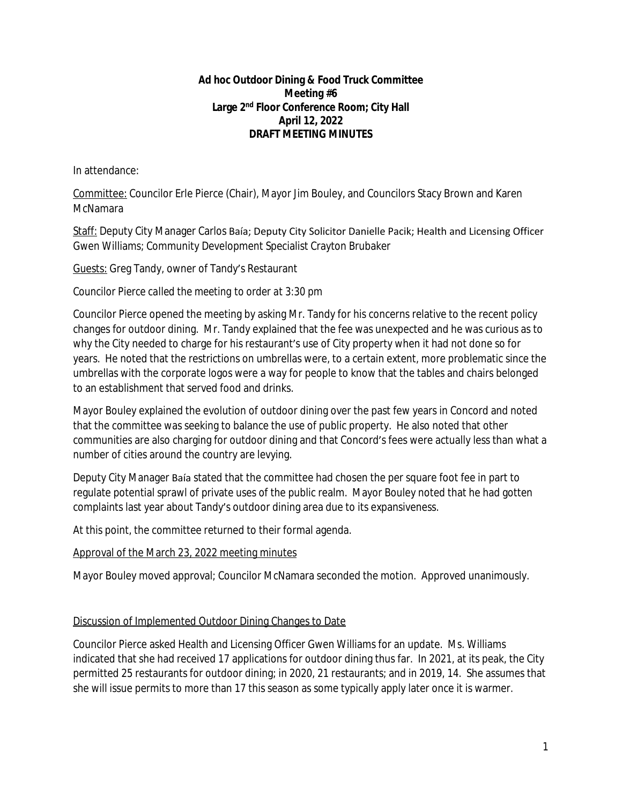## **Ad hoc Outdoor Dining & Food Truck Committee Meeting #6 Large 2nd Floor Conference Room; City Hall April 12, 2022 DRAFT MEETING MINUTES**

In attendance:

Committee: Councilor Erle Pierce (Chair), Mayor Jim Bouley, and Councilors Stacy Brown and Karen McNamara

Staff: Deputy City Manager Carlos Baía; Deputy City Solicitor Danielle Pacik; Health and Licensing Officer Gwen Williams; Community Development Specialist Crayton Brubaker

Guests: Greg Tandy, owner of Tandy's Restaurant

*Councilor Pierce called the meeting to order at 3:30 pm*

Councilor Pierce opened the meeting by asking Mr. Tandy for his concerns relative to the recent policy changes for outdoor dining. Mr. Tandy explained that the fee was unexpected and he was curious as to why the City needed to charge for his restaurant's use of City property when it had not done so for years. He noted that the restrictions on umbrellas were, to a certain extent, more problematic since the umbrellas with the corporate logos were a way for people to know that the tables and chairs belonged to an establishment that served food and drinks.

Mayor Bouley explained the evolution of outdoor dining over the past few years in Concord and noted that the committee was seeking to balance the use of public property. He also noted that other communities are also charging for outdoor dining and that Concord's fees were actually less than what a number of cities around the country are levying.

Deputy City Manager Baía stated that the committee had chosen the per square foot fee in part to regulate potential sprawl of private uses of the public realm. Mayor Bouley noted that he had gotten complaints last year about Tandy's outdoor dining area due to its expansiveness.

At this point, the committee returned to their formal agenda.

## Approval of the March 23, 2022 meeting minutes

Mayor Bouley moved approval; Councilor McNamara seconded the motion. Approved unanimously.

## Discussion of Implemented Outdoor Dining Changes to Date

Councilor Pierce asked Health and Licensing Officer Gwen Williams for an update. Ms. Williams indicated that she had received 17 applications for outdoor dining thus far. In 2021, at its peak, the City permitted 25 restaurants for outdoor dining; in 2020, 21 restaurants; and in 2019, 14. She assumes that she will issue permits to more than 17 this season as some typically apply later once it is warmer.